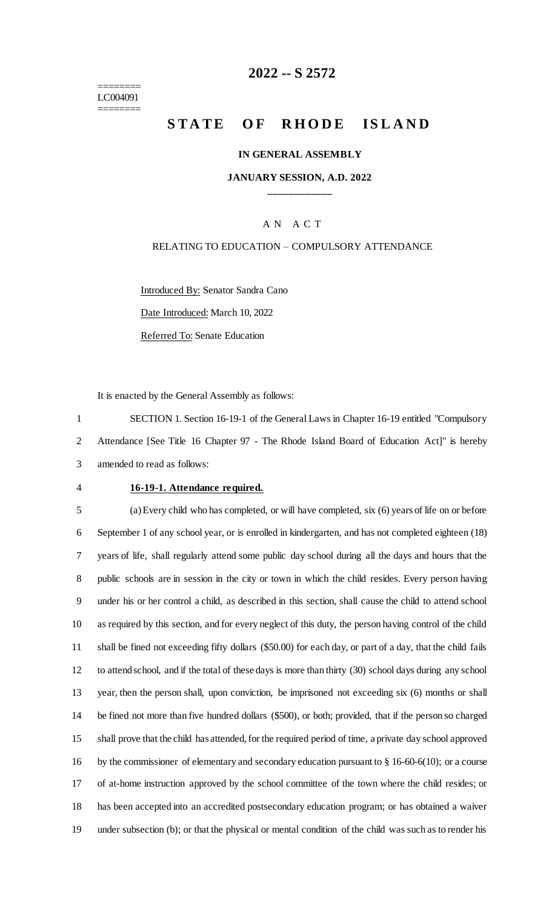======== LC004091 ========

# **-- S 2572**

# **STATE OF RHODE ISLAND**

#### **IN GENERAL ASSEMBLY**

#### **JANUARY SESSION, A.D. 2022 \_\_\_\_\_\_\_\_\_\_\_\_**

## A N A C T

#### RELATING TO EDUCATION – COMPULSORY ATTENDANCE

Introduced By: Senator Sandra Cano Date Introduced: March 10, 2022 Referred To: Senate Education

It is enacted by the General Assembly as follows:

 SECTION 1. Section 16-19-1 of the General Laws in Chapter 16-19 entitled "Compulsory Attendance [See Title 16 Chapter 97 - The Rhode Island Board of Education Act]" is hereby amended to read as follows:

#### **16-19-1. Attendance required.**

 (a) Every child who has completed, or will have completed, six (6) years of life on or before September 1 of any school year, or is enrolled in kindergarten, and has not completed eighteen (18) years of life, shall regularly attend some public day school during all the days and hours that the public schools are in session in the city or town in which the child resides. Every person having under his or her control a child, as described in this section, shall cause the child to attend school as required by this section, and for every neglect of this duty, the person having control of the child shall be fined not exceeding fifty dollars (\$50.00) for each day, or part of a day, that the child fails to attend school, and if the total of these days is more than thirty (30) school days during any school year, then the person shall, upon conviction, be imprisoned not exceeding six (6) months or shall be fined not more than five hundred dollars (\$500), or both; provided, that if the person so charged shall prove that the child has attended, for the required period of time, a private day school approved by the commissioner of elementary and secondary education pursuant to § 16-60-6(10); or a course of at-home instruction approved by the school committee of the town where the child resides; or has been accepted into an accredited postsecondary education program; or has obtained a waiver under subsection (b); or that the physical or mental condition of the child was such as to render his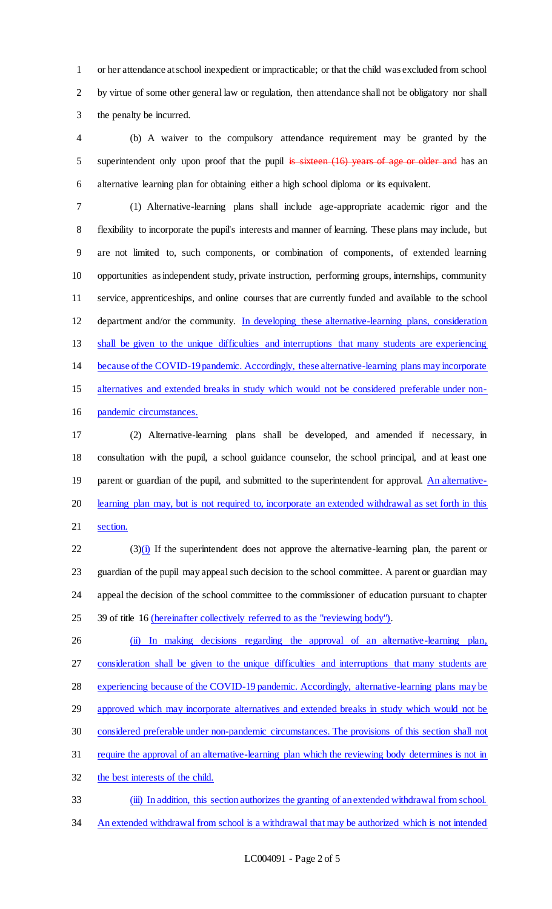or her attendance at school inexpedient or impracticable; or that the child was excluded from school by virtue of some other general law or regulation, then attendance shall not be obligatory nor shall the penalty be incurred.

 (b) A waiver to the compulsory attendance requirement may be granted by the 5 superintendent only upon proof that the pupil is sixteen (16) years of age or older and has an alternative learning plan for obtaining either a high school diploma or its equivalent.

 (1) Alternative-learning plans shall include age-appropriate academic rigor and the flexibility to incorporate the pupil's interests and manner of learning. These plans may include, but are not limited to, such components, or combination of components, of extended learning opportunities as independent study, private instruction, performing groups, internships, community service, apprenticeships, and online courses that are currently funded and available to the school department and/or the community. In developing these alternative-learning plans, consideration shall be given to the unique difficulties and interruptions that many students are experiencing because of the COVID-19pandemic. Accordingly, these alternative-learning plans may incorporate alternatives and extended breaks in study which would not be considered preferable under non-pandemic circumstances.

 (2) Alternative-learning plans shall be developed, and amended if necessary, in consultation with the pupil, a school guidance counselor, the school principal, and at least one 19 parent or guardian of the pupil, and submitted to the superintendent for approval. An alternative- learning plan may, but is not required to, incorporate an extended withdrawal as set forth in this section.

 (3)(i) If the superintendent does not approve the alternative-learning plan, the parent or guardian of the pupil may appeal such decision to the school committee. A parent or guardian may appeal the decision of the school committee to the commissioner of education pursuant to chapter 25 39 of title 16 (hereinafter collectively referred to as the "reviewing body").

 (ii) In making decisions regarding the approval of an alternative-learning plan, consideration shall be given to the unique difficulties and interruptions that many students are 28 experiencing because of the COVID-19 pandemic. Accordingly, alternative-learning plans may be 29 approved which may incorporate alternatives and extended breaks in study which would not be considered preferable under non-pandemic circumstances. The provisions of this section shall not require the approval of an alternative-learning plan which the reviewing body determines is not in the best interests of the child. (iii) In addition, this section authorizes the granting of an extended withdrawal from school.

34 An extended withdrawal from school is a withdrawal that may be authorized which is not intended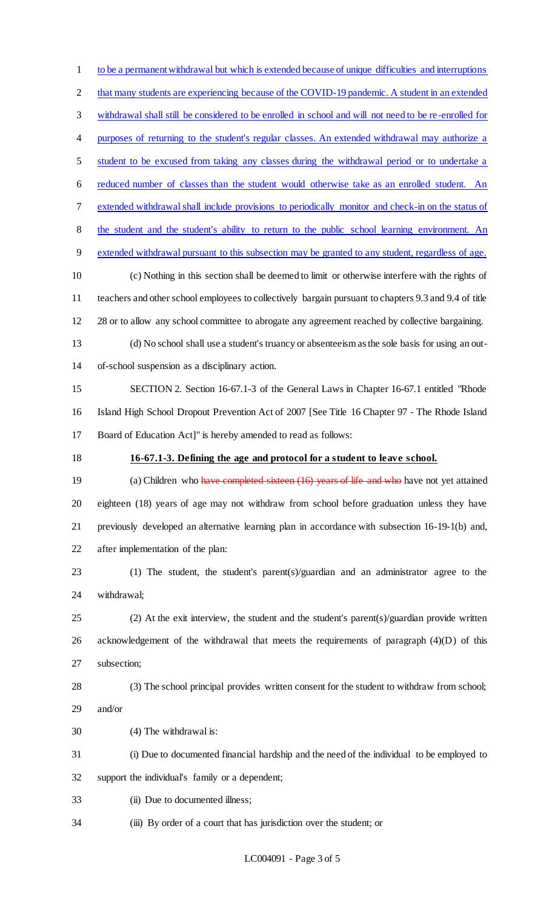to be a permanent withdrawal but which is extended because of unique difficulties and interruptions that many students are experiencing because of the COVID-19 pandemic. A student in an extended withdrawal shall still be considered to be enrolled in school and will not need to be re-enrolled for 4 purposes of returning to the student's regular classes. An extended withdrawal may authorize a student to be excused from taking any classes during the withdrawal period or to undertake a reduced number of classes than the student would otherwise take as an enrolled student. An extended withdrawal shall include provisions to periodically monitor and check-in on the status of the student and the student's ability to return to the public school learning environment. An extended withdrawal pursuant to this subsection may be granted to any student, regardless of age. (c) Nothing in this section shall be deemed to limit or otherwise interfere with the rights of teachers and other school employees to collectively bargain pursuant to chapters 9.3 and 9.4 of title 12 28 or to allow any school committee to abrogate any agreement reached by collective bargaining. (d) No school shall use a student's truancy or absenteeism as the sole basis for using an out- of-school suspension as a disciplinary action. SECTION 2. Section 16-67.1-3 of the General Laws in Chapter 16-67.1 entitled "Rhode Island High School Dropout Prevention Act of 2007 [See Title 16 Chapter 97 - The Rhode Island Board of Education Act]" is hereby amended to read as follows: **16-67.1-3. Defining the age and protocol for a student to leave school.** 19 (a) Children who have completed sixteen (16) years of life and who have not yet attained eighteen (18) years of age may not withdraw from school before graduation unless they have previously developed an alternative learning plan in accordance with subsection 16-19-1(b) and, after implementation of the plan: (1) The student, the student's parent(s)/guardian and an administrator agree to the withdrawal; (2) At the exit interview, the student and the student's parent(s)/guardian provide written acknowledgement of the withdrawal that meets the requirements of paragraph (4)(D) of this subsection; (3) The school principal provides written consent for the student to withdraw from school; and/or (4) The withdrawal is: (i) Due to documented financial hardship and the need of the individual to be employed to support the individual's family or a dependent; (ii) Due to documented illness; (iii) By order of a court that has jurisdiction over the student; or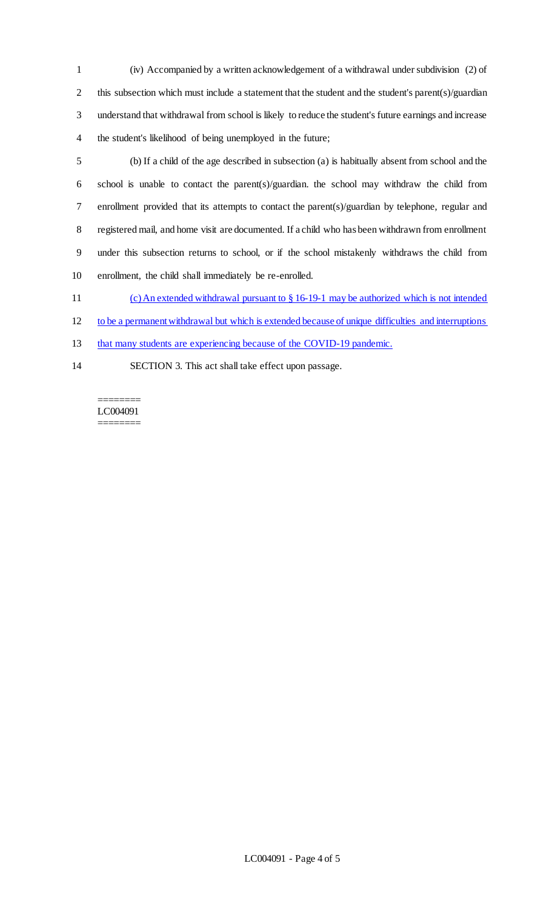(iv) Accompanied by a written acknowledgement of a withdrawal under subdivision (2) of this subsection which must include a statement that the student and the student's parent(s)/guardian understand that withdrawal from school is likely to reduce the student's future earnings and increase the student's likelihood of being unemployed in the future;

 (b) If a child of the age described in subsection (a) is habitually absent from school and the school is unable to contact the parent(s)/guardian. the school may withdraw the child from enrollment provided that its attempts to contact the parent(s)/guardian by telephone, regular and registered mail, and home visit are documented. If a child who has been withdrawn from enrollment under this subsection returns to school, or if the school mistakenly withdraws the child from enrollment, the child shall immediately be re-enrolled.

(c) An extended withdrawal pursuant to § 16-19-1 may be authorized which is not intended

to be a permanent withdrawal but which is extended because of unique difficulties and interruptions

13 that many students are experiencing because of the COVID-19 pandemic.

SECTION 3. This act shall take effect upon passage.

======== LC004091 ========